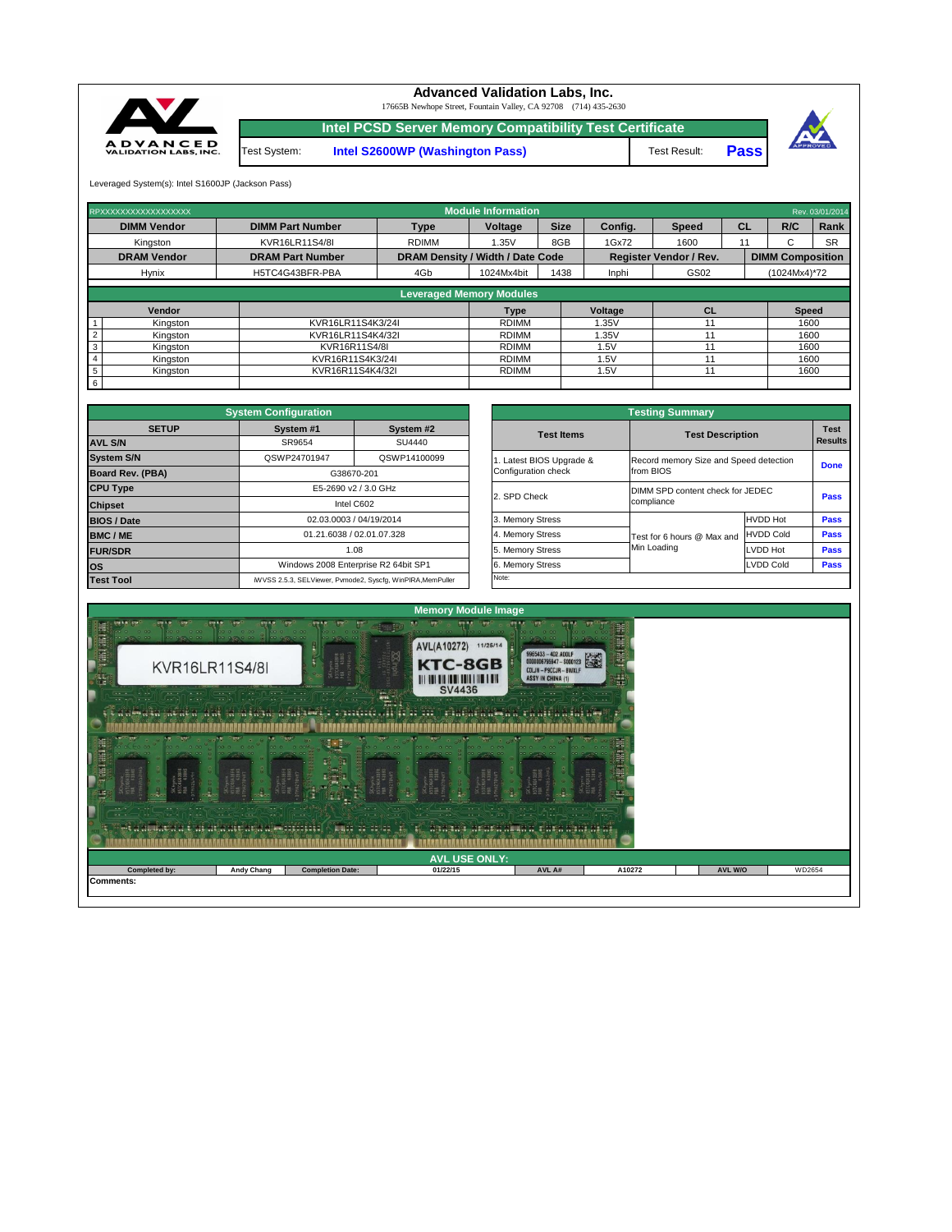

| $-111$<br>$-11.7.7$<br>$-1$<br>Met a al local a that art a mula da dheirichte (Al local agus 1 | $\cdots$<br>$\bullet$ $\bullet$ $\bullet$<br>$\sim$ $\sim$ $\sim$ | <br>$\sqrt{2}$<br>$\cdots$ | <b><i>Comment Commencer</i></b><br><b>CONTRACTOR</b><br><b>COLLEGE AND DESCRIPTION</b><br>1.7.1.1<br>$\sim$<br>$\begin{bmatrix} 1 & 0 & 0 \\ 0 & 0 & 0 \\ 0 & 0 & 0 \\ 0 & 0 & 0 \\ 0 & 0 & 0 \\ 0 & 0 & 0 \\ 0 & 0 & 0 & 0 \\ 0 & 0 & 0 & 0 \\ 0 & 0 & 0 & 0 \\ 0 & 0 & 0 & 0 & 0 \\ 0 & 0 & 0 & 0 & 0 \\ 0 & 0 & 0 & 0 & 0 \\ 0 & 0 & 0 & 0 & 0 & 0 \\ 0 & 0 & 0 & 0 & 0 & 0 \\ 0 & 0 & 0 & 0 & 0 & 0 & 0 \\ 0 & 0 & 0 & 0 & 0 & 0 & 0 \\ $<br><b>District</b><br>$\cdots$<br>$\sim$ $\sim$ $\sim$<br>$\begin{array}{ccc} \bullet & \bullet & \bullet & \bullet & \bullet & \bullet \end{array}$<br>$\cdots$<br>Ho mondered residence an an source money we we | <b>School GUILDER L.</b><br>$\bullet$ $\bullet$ $\bullet$<br>$\sim$<br>$\cdots$ | $\cdot \cdot \cdot$<br>$\cdots$ . $\blacksquare$ |         |        |
|------------------------------------------------------------------------------------------------|-------------------------------------------------------------------|----------------------------|------------------------------------------------------------------------------------------------------------------------------------------------------------------------------------------------------------------------------------------------------------------------------------------------------------------------------------------------------------------------------------------------------------------------------------------------------------------------------------------------------------------------------------------------------------------------------------------------------------------------------------------------------------------|---------------------------------------------------------------------------------|--------------------------------------------------|---------|--------|
|                                                                                                |                                                                   |                            | <b>AVL USE ONLY:</b>                                                                                                                                                                                                                                                                                                                                                                                                                                                                                                                                                                                                                                             |                                                                                 |                                                  |         |        |
| Completed by:                                                                                  | <b>Andy Chang</b>                                                 | <b>Completion Date:</b>    | 01/22/15                                                                                                                                                                                                                                                                                                                                                                                                                                                                                                                                                                                                                                                         | AVL A#                                                                          | A10272                                           | AVL W/O | WD2654 |
| Comments:                                                                                      |                                                                   |                            |                                                                                                                                                                                                                                                                                                                                                                                                                                                                                                                                                                                                                                                                  |                                                                                 |                                                  |         |        |

|              | <b>System Configuration</b>                                 |              |                       | <b>Testing Summary</b>                 |                  |  |
|--------------|-------------------------------------------------------------|--------------|-----------------------|----------------------------------------|------------------|--|
| <b>SETUP</b> | System #1                                                   | System #2    | <b>Test Items</b>     | <b>Test Description</b>                |                  |  |
|              | SR9654                                                      | SU4440       |                       |                                        | <b>Results</b>   |  |
|              | QSWP24701947                                                | QSWP14100099 | Latest BIOS Upgrade & | Record memory Size and Speed detection |                  |  |
| <b>BA)</b>   | G38670-201                                                  |              | Configuration check   | from BIOS                              |                  |  |
|              | E5-2690 v2 / 3.0 GHz                                        |              |                       | DIMM SPD content check for JEDEC       |                  |  |
|              | Intel C602                                                  |              | 2. SPD Check          | compliance                             |                  |  |
|              | 02.03.0003 / 04/19/2014                                     |              | 3. Memory Stress      |                                        | <b>HVDD Hot</b>  |  |
|              | 01.21.6038 / 02.01.07.328                                   |              | 4. Memory Stress      | Test for 6 hours @ Max and             | <b>HVDD Cold</b> |  |
|              | 1.08                                                        |              | 5. Memory Stress      | Min Loading                            | LVDD Hot         |  |
|              | Windows 2008 Enterprise R2 64bit SP1                        |              | 6. Memory Stress      |                                        | <b>LVDD Cold</b> |  |
|              | iWVSS 2.5.3, SELViewer, Pvmode2, Syscfg, WinPIRA, MemPuller |              | Note:                 |                                        |                  |  |

|                         | <b>System Configuration</b> |                                                             |                       | <b>Testing Summary</b>                 |                  |                |
|-------------------------|-----------------------------|-------------------------------------------------------------|-----------------------|----------------------------------------|------------------|----------------|
| <b>SETUP</b>            | System #1                   | System #2                                                   | <b>Test Items</b>     | <b>Test Description</b>                |                  | <b>Test</b>    |
| <b>AVL S/N</b>          | SR9654                      | SU4440                                                      |                       |                                        |                  | <b>Results</b> |
| <b>System S/N</b>       | QSWP24701947                | QSWP14100099                                                | Latest BIOS Upgrade & | Record memory Size and Speed detection |                  |                |
| <b>Board Rev. (PBA)</b> |                             | G38670-201                                                  | Configuration check   | from BIOS                              |                  | <b>Done</b>    |
| <b>CPU Type</b>         |                             | E5-2690 v2 / 3.0 GHz                                        | 2. SPD Check          | DIMM SPD content check for JEDEC       |                  |                |
| <b>Chipset</b>          |                             | Intel C602                                                  |                       | compliance                             |                  | <b>Pass</b>    |
| <b>BIOS / Date</b>      |                             | 02.03.0003 / 04/19/2014                                     | 3. Memory Stress      |                                        | <b>HVDD Hot</b>  | <b>Pass</b>    |
| <b>BMC/ME</b>           |                             | 01.21.6038 / 02.01.07.328                                   | 4. Memory Stress      | Test for 6 hours @ Max and             | <b>HVDD Cold</b> | <b>Pass</b>    |
| <b>FUR/SDR</b>          |                             | 1.08                                                        | 5. Memory Stress      | Min Loading                            | LVDD Hot         | <b>Pass</b>    |
| <b>los</b>              |                             | Windows 2008 Enterprise R2 64bit SP1                        | 6. Memory Stress      |                                        | <b>LVDD Cold</b> | <b>Pass</b>    |
| <b>Test Tool</b>        |                             | iWVSS 2.5.3, SELViewer, Pvmode2, Syscfg, WinPIRA, MemPuller | Note:                 |                                        |                  |                |

| RPXXXXXXXXXXXXXXXXXX        |                         |                                         | <b>Module Information</b>       |             |         |                               |           |                         | Rev. 03/01/2014 |
|-----------------------------|-------------------------|-----------------------------------------|---------------------------------|-------------|---------|-------------------------------|-----------|-------------------------|-----------------|
| <b>DIMM Vendor</b>          | <b>DIMM Part Number</b> | <b>Type</b>                             | Voltage                         | <b>Size</b> | Config. | <b>Speed</b>                  | <b>CL</b> | R/C                     | Rank            |
| Kingston                    | KVR16LR11S4/8I          | <b>RDIMM</b>                            | 1.35V                           | 8GB         | 1Gx72   | 1600                          |           | ⌒<br>ι.                 | <b>SR</b>       |
| <b>DRAM Vendor</b>          | <b>DRAM Part Number</b> | <b>DRAM Density / Width / Date Code</b> |                                 |             |         | <b>Register Vendor / Rev.</b> |           | <b>DIMM Composition</b> |                 |
| <b>Hynix</b>                | H5TC4G43BFR-PBA         | 4Gb                                     | 1024Mx4bit                      | 1438        | Inphi   | GS02                          |           | (1024Mx4)*72            |                 |
|                             |                         |                                         | <b>Leveraged Memory Modules</b> |             |         |                               |           |                         |                 |
|                             |                         |                                         |                                 |             |         |                               |           |                         |                 |
| Vendor                      |                         |                                         | <b>Type</b>                     |             | Voltage | <b>CL</b>                     |           | <b>Speed</b>            |                 |
| Kingston<br>$\mathbf{1}$    | KVR16LR11S4K3/24I       |                                         | <b>RDIMM</b>                    |             | 1.35V   | 11                            |           | 1600                    |                 |
| $\sqrt{2}$<br>Kingston      | KVR16LR11S4K4/32I       |                                         | <b>RDIMM</b>                    |             | 1.35V   |                               |           | 1600                    |                 |
| $\mathbf{3}$<br>Kingston    | KVR16R11S4/8I           |                                         | <b>RDIMM</b>                    |             | 1.5V    |                               |           | 1600                    |                 |
| $\overline{4}$<br>Kingston  | KVR16R11S4K3/24I        |                                         | <b>RDIMM</b>                    |             | 1.5V    |                               |           | 1600                    |                 |
| $5\phantom{.0}$<br>Kingston | KVR16R11S4K4/32I        |                                         | <b>RDIMM</b>                    |             | 1.5V    | 11                            |           | 1600                    |                 |
| $6\overline{6}$             |                         |                                         |                                 |             |         |                               |           |                         |                 |



Leveraged System(s): Intel S1600JP (Jackson Pass)